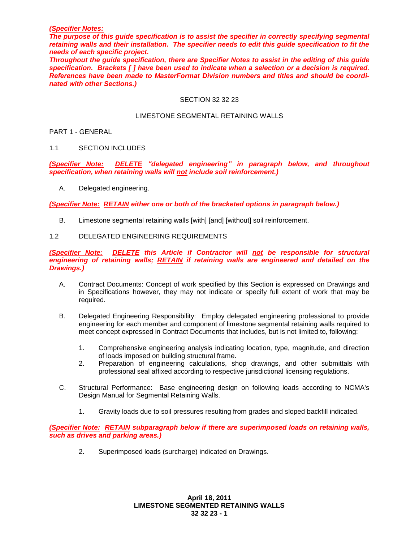### *(Specifier Notes:*

*The purpose of this guide specification is to assist the specifier in correctly specifying segmental retaining walls and their installation. The specifier needs to edit this guide specification to fit the needs of each specific project.* 

*Throughout the guide specification, there are Specifier Notes to assist in the editing of this guide specification. Brackets [ ] have been used to indicate when a selection or a decision is required. References have been made to MasterFormat Division numbers and titles and should be coordinated with other Sections.)*

### SECTION 32 32 23

#### LIMESTONE SEGMENTAL RETAINING WALLS

### PART 1 - GENERAL

## 1.1 SECTION INCLUDES

*(Specifier Note: DELETE "delegated engineering" in paragraph below, and throughout specification, when retaining walls will not include soil reinforcement.)*

A. Delegated engineering.

*(Specifier Note: RETAIN either one or both of the bracketed options in paragraph below.)*

B. Limestone segmental retaining walls [with] [and] [without] soil reinforcement.

### 1.2 DELEGATED ENGINEERING REQUIREMENTS

*(Specifier Note: DELETE this Article if Contractor will not be responsible for structural engineering of retaining walls; RETAIN if retaining walls are engineered and detailed on the Drawings.)*

- A. Contract Documents: Concept of work specified by this Section is expressed on Drawings and in Specifications however, they may not indicate or specify full extent of work that may be required.
- B. Delegated Engineering Responsibility: Employ delegated engineering professional to provide engineering for each member and component of limestone segmental retaining walls required to meet concept expressed in Contract Documents that includes, but is not limited to, following:
	- 1. Comprehensive engineering analysis indicating location, type, magnitude, and direction of loads imposed on building structural frame.
	- 2. Preparation of engineering calculations, shop drawings, and other submittals with professional seal affixed according to respective jurisdictional licensing regulations.
- C. Structural Performance: Base engineering design on following loads according to NCMA's Design Manual for Segmental Retaining Walls.
	- 1. Gravity loads due to soil pressures resulting from grades and sloped backfill indicated.

*(Specifier Note: RETAIN subparagraph below if there are superimposed loads on retaining walls, such as drives and parking areas.)*

2. Superimposed loads (surcharge) indicated on Drawings.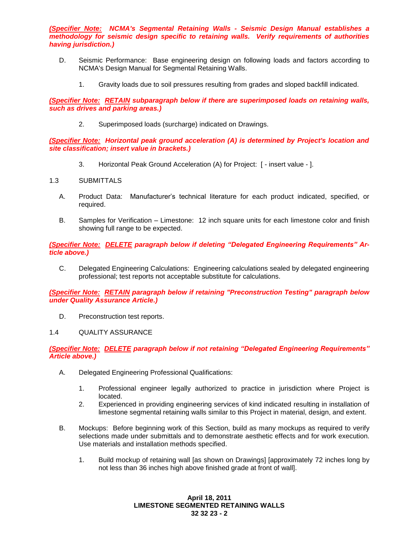*(Specifier Note: NCMA's Segmental Retaining Walls - Seismic Design Manual establishes a methodology for seismic design specific to retaining walls. Verify requirements of authorities having jurisdiction.)*

- D. Seismic Performance: Base engineering design on following loads and factors according to NCMA's Design Manual for Segmental Retaining Walls.
	- 1. Gravity loads due to soil pressures resulting from grades and sloped backfill indicated.

*(Specifier Note: RETAIN subparagraph below if there are superimposed loads on retaining walls, such as drives and parking areas.)*

2. Superimposed loads (surcharge) indicated on Drawings.

*(Specifier Note: Horizontal peak ground acceleration (A) is determined by Project's location and site classification; insert value in brackets.)*

3. Horizontal Peak Ground Acceleration (A) for Project: [ - insert value - ].

# 1.3 SUBMITTALS

- A. Product Data: Manufacturer's technical literature for each product indicated, specified, or required.
- B. Samples for Verification Limestone: 12 inch square units for each limestone color and finish showing full range to be expected.

*(Specifier Note: DELETE paragraph below if deleting "Delegated Engineering Requirements" Article above.)*

C. Delegated Engineering Calculations: Engineering calculations sealed by delegated engineering professional; test reports not acceptable substitute for calculations.

*(Specifier Note: RETAIN paragraph below if retaining "Preconstruction Testing" paragraph below under Quality Assurance Article.)*

D. Preconstruction test reports.

## 1.4 QUALITY ASSURANCE

## *(Specifier Note: DELETE paragraph below if not retaining "Delegated Engineering Requirements" Article above.)*

- A. Delegated Engineering Professional Qualifications:
	- 1. Professional engineer legally authorized to practice in jurisdiction where Project is located.
	- 2. Experienced in providing engineering services of kind indicated resulting in installation of limestone segmental retaining walls similar to this Project in material, design, and extent.
- B. Mockups: Before beginning work of this Section, build as many mockups as required to verify selections made under submittals and to demonstrate aesthetic effects and for work execution. Use materials and installation methods specified.
	- 1. Build mockup of retaining wall [as shown on Drawings] [approximately 72 inches long by not less than 36 inches high above finished grade at front of wall].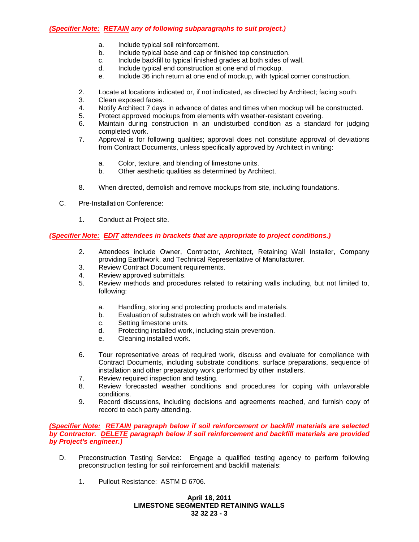# *(Specifier Note: RETAIN any of following subparagraphs to suit project.)*

- a. Include typical soil reinforcement.
- b. Include typical base and cap or finished top construction.
- c. Include backfill to typical finished grades at both sides of wall.
- d. Include typical end construction at one end of mockup.
- e. Include 36 inch return at one end of mockup, with typical corner construction.
- 2. Locate at locations indicated or, if not indicated, as directed by Architect; facing south.
- 3. Clean exposed faces.
- 4. Notify Architect 7 days in advance of dates and times when mockup will be constructed.
- 5. Protect approved mockups from elements with weather-resistant covering.
- 6. Maintain during construction in an undisturbed condition as a standard for judging completed work.
- 7. Approval is for following qualities; approval does not constitute approval of deviations from Contract Documents, unless specifically approved by Architect in writing:
	- a. Color, texture, and blending of limestone units.
	- b. Other aesthetic qualities as determined by Architect.
- 8. When directed, demolish and remove mockups from site, including foundations.
- C. Pre-Installation Conference:
	- 1. Conduct at Project site.

# *(Specifier Note: EDIT attendees in brackets that are appropriate to project conditions.)*

- 2. Attendees include Owner, Contractor, Architect, Retaining Wall Installer, Company providing Earthwork, and Technical Representative of Manufacturer.
- 3. Review Contract Document requirements.
- 4. Review approved submittals.
- 5. Review methods and procedures related to retaining walls including, but not limited to, following:
	- a. Handling, storing and protecting products and materials.
	- b. Evaluation of substrates on which work will be installed.
	- c. Setting limestone units.
	- d. Protecting installed work, including stain prevention.
	- e. Cleaning installed work.
- 6. Tour representative areas of required work, discuss and evaluate for compliance with Contract Documents, including substrate conditions, surface preparations, sequence of installation and other preparatory work performed by other installers.
- 7. Review required inspection and testing.
- 8. Review forecasted weather conditions and procedures for coping with unfavorable conditions.
- 9. Record discussions, including decisions and agreements reached, and furnish copy of record to each party attending.

## *(Specifier Note: RETAIN paragraph below if soil reinforcement or backfill materials are selected by Contractor. DELETE paragraph below if soil reinforcement and backfill materials are provided by Project's engineer.)*

- D. Preconstruction Testing Service: Engage a qualified testing agency to perform following preconstruction testing for soil reinforcement and backfill materials:
	- 1. Pullout Resistance: ASTM D 6706.

# **April 18, 2011 LIMESTONE SEGMENTED RETAINING WALLS 32 32 23 - 3**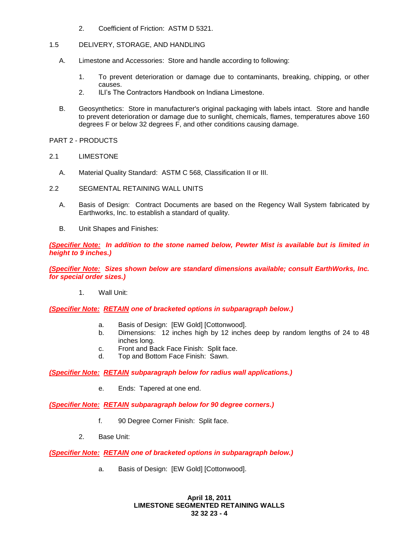- 2. Coefficient of Friction: ASTM D 5321.
- 1.5 DELIVERY, STORAGE, AND HANDLING
	- A. Limestone and Accessories: Store and handle according to following:
		- 1. To prevent deterioration or damage due to contaminants, breaking, chipping, or other causes.
		- 2. ILI's The Contractors Handbook on Indiana Limestone.
	- B. Geosynthetics: Store in manufacturer's original packaging with labels intact. Store and handle to prevent deterioration or damage due to sunlight, chemicals, flames, temperatures above 160 degrees F or below 32 degrees F, and other conditions causing damage.
- PART 2 PRODUCTS
- 2.1 LIMESTONE
	- A. Material Quality Standard: ASTM C 568, Classification II or III.
- 2.2 SEGMENTAL RETAINING WALL UNITS
	- A. Basis of Design: Contract Documents are based on the Regency Wall System fabricated by Earthworks, Inc. to establish a standard of quality.
	- B. Unit Shapes and Finishes:

*(Specifier Note: In addition to the stone named below, Pewter Mist is available but is limited in height to 9 inches.)*

*(Specifier Note: Sizes shown below are standard dimensions available; consult EarthWorks, Inc. for special order sizes.)*

1. Wall Unit:

*(Specifier Note: RETAIN one of bracketed options in subparagraph below.)*

- a. Basis of Design: [EW Gold] [Cottonwood].
- b. Dimensions: 12 inches high by 12 inches deep by random lengths of 24 to 48 inches long.
- c. Front and Back Face Finish: Split face.
- d. Top and Bottom Face Finish: Sawn.

*(Specifier Note: RETAIN subparagraph below for radius wall applications.)*

e. Ends: Tapered at one end.

*(Specifier Note: RETAIN subparagraph below for 90 degree corners.)*

- f. 90 Degree Corner Finish: Split face.
- 2. Base Unit:

*(Specifier Note: RETAIN one of bracketed options in subparagraph below.)*

a. Basis of Design: [EW Gold] [Cottonwood].

**April 18, 2011 LIMESTONE SEGMENTED RETAINING WALLS 32 32 23 - 4**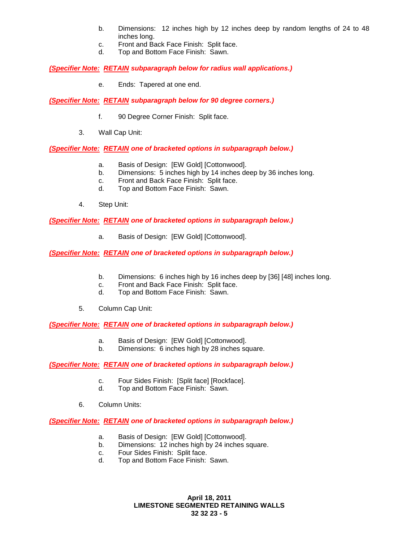- b. Dimensions: 12 inches high by 12 inches deep by random lengths of 24 to 48 inches long.
- c. Front and Back Face Finish: Split face.
- d. Top and Bottom Face Finish: Sawn.

*(Specifier Note: RETAIN subparagraph below for radius wall applications.)*

e. Ends: Tapered at one end.

*(Specifier Note: RETAIN subparagraph below for 90 degree corners.)*

- f. 90 Degree Corner Finish: Split face.
- 3. Wall Cap Unit:

### *(Specifier Note: RETAIN one of bracketed options in subparagraph below.)*

- a. Basis of Design: [EW Gold] [Cottonwood].
- b. Dimensions: 5 inches high by 14 inches deep by 36 inches long.
- c. Front and Back Face Finish: Split face.
- d. Top and Bottom Face Finish: Sawn.
- 4. Step Unit:

*(Specifier Note: RETAIN one of bracketed options in subparagraph below.)*

a. Basis of Design: [EW Gold] [Cottonwood].

*(Specifier Note: RETAIN one of bracketed options in subparagraph below.)*

- b. Dimensions: 6 inches high by 16 inches deep by [36] [48] inches long.
- c. Front and Back Face Finish: Split face.
- d. Top and Bottom Face Finish: Sawn.
- 5. Column Cap Unit:

*(Specifier Note: RETAIN one of bracketed options in subparagraph below.)*

- a. Basis of Design: [EW Gold] [Cottonwood].
- b. Dimensions: 6 inches high by 28 inches square.

#### *(Specifier Note: RETAIN one of bracketed options in subparagraph below.)*

- c. Four Sides Finish: [Split face] [Rockface].
- d. Top and Bottom Face Finish: Sawn.
- 6. Column Units:

#### *(Specifier Note: RETAIN one of bracketed options in subparagraph below.)*

- a. Basis of Design: [EW Gold] [Cottonwood].
- b. Dimensions: 12 inches high by 24 inches square.
- c. Four Sides Finish: Split face.
- d. Top and Bottom Face Finish: Sawn.

**April 18, 2011 LIMESTONE SEGMENTED RETAINING WALLS 32 32 23 - 5**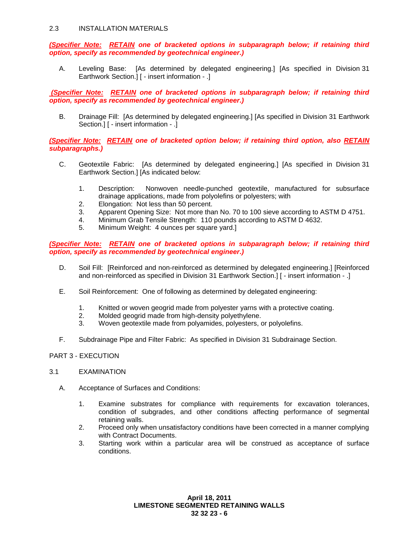## 2.3 INSTALLATION MATERIALS

*(Specifier Note: RETAIN one of bracketed options in subparagraph below; if retaining third option, specify as recommended by geotechnical engineer.)*

A. Leveling Base: [As determined by delegated engineering.] [As specified in Division 31 Earthwork Section.] [ - insert information - .]

*(Specifier Note: RETAIN one of bracketed options in subparagraph below; if retaining third option, specify as recommended by geotechnical engineer.)*

B. Drainage Fill: [As determined by delegated engineering.] [As specified in Division 31 Earthwork Section.] [ - insert information - .]

*(Specifier Note: RETAIN one of bracketed option below; if retaining third option, also RETAIN subparagraphs.)*

- C. Geotextile Fabric: [As determined by delegated engineering.] [As specified in Division 31 Earthwork Section.] [As indicated below:
	- 1. Description: Nonwoven needle-punched geotextile, manufactured for subsurface drainage applications, made from polyolefins or polyesters; with
	- 2. Elongation: Not less than 50 percent.
	- 3. Apparent Opening Size: Not more than No. 70 to 100 sieve according to ASTM D 4751.
	- 4. Minimum Grab Tensile Strength: 110 pounds according to ASTM D 4632.
	- 5. Minimum Weight: 4 ounces per square yard.]

*(Specifier Note: RETAIN one of bracketed options in subparagraph below; if retaining third option, specify as recommended by geotechnical engineer.)*

- D. Soil Fill: [Reinforced and non-reinforced as determined by delegated engineering.] [Reinforced and non-reinforced as specified in Division 31 Earthwork Section.] [ - insert information - .]
- E. Soil Reinforcement: One of following as determined by delegated engineering:
	- 1. Knitted or woven geogrid made from polyester yarns with a protective coating.
	- 2. Molded geogrid made from high-density polyethylene.
	- 3. Woven geotextile made from polyamides, polyesters, or polyolefins.
- F. Subdrainage Pipe and Filter Fabric: As specified in Division 31 Subdrainage Section.

#### PART 3 - EXECUTION

- 3.1 EXAMINATION
	- A. Acceptance of Surfaces and Conditions:
		- 1. Examine substrates for compliance with requirements for excavation tolerances, condition of subgrades, and other conditions affecting performance of segmental retaining walls.
		- 2. Proceed only when unsatisfactory conditions have been corrected in a manner complying with Contract Documents.
		- 3. Starting work within a particular area will be construed as acceptance of surface conditions.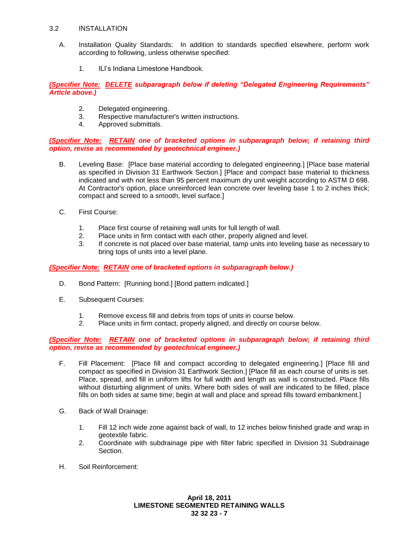## 3.2 INSTALLATION

- A. Installation Quality Standards: In addition to standards specified elsewhere, perform work according to following, unless otherwise specified:
	- 1. ILI's Indiana Limestone Handbook.

*(Specifier Note: DELETE subparagraph below if deleting "Delegated Engineering Requirements" Article above.)*

- 2. Delegated engineering.
- 3. Respective manufacturer's written instructions.
- 4. Approved submittals.

# *(Specifier Note: RETAIN one of bracketed options in subparagraph below; if retaining third option, revise as recommended by geotechnical engineer.)*

- B. Leveling Base: [Place base material according to delegated engineering.] [Place base material as specified in Division 31 Earthwork Section.] [Place and compact base material to thickness indicated and with not less than 95 percent maximum dry unit weight according to ASTM D 698. At Contractor's option, place unreinforced lean concrete over leveling base 1 to 2 inches thick; compact and screed to a smooth, level surface.]
- C. First Course:
	- 1. Place first course of retaining wall units for full length of wall.
	- 2. Place units in firm contact with each other, properly aligned and level.
	- 3. If concrete is not placed over base material, tamp units into leveling base as necessary to bring tops of units into a level plane.

# *(Specifier Note: RETAIN one of bracketed options in subparagraph below.)*

- D. Bond Pattern: [Running bond.] [Bond pattern indicated.]
- E. Subsequent Courses:
	- 1. Remove excess fill and debris from tops of units in course below.
	- 2. Place units in firm contact, properly aligned, and directly on course below.

# *(Specifier Note: RETAIN one of bracketed options in subparagraph below; if retaining third option, revise as recommended by geotechnical engineer.)*

- F. Fill Placement: [Place fill and compact according to delegated engineering.] [Place fill and compact as specified in Division 31 Earthwork Section.] [Place fill as each course of units is set. Place, spread, and fill in uniform lifts for full width and length as wall is constructed. Place fills without disturbing alignment of units. Where both sides of wall are indicated to be filled, place fills on both sides at same time; begin at wall and place and spread fills toward embankment.]
- G. Back of Wall Drainage:
	- 1. Fill 12 inch wide zone against back of wall, to 12 inches below finished grade and wrap in geotextile fabric.
	- 2. Coordinate with subdrainage pipe with filter fabric specified in Division 31 Subdrainage Section.
- H. Soil Reinforcement: